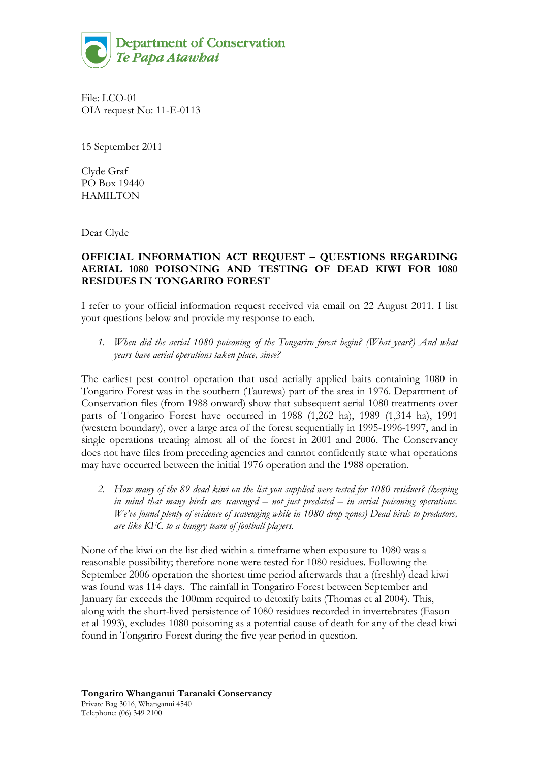

File: LCO-01 OIA request No: 11-E-0113

15 September 2011

Clyde Graf PO Box 19440 HAMILTON

Dear Clyde

## **OFFICIAL INFORMATION ACT REQUEST – QUESTIONS REGARDING AERIAL 1080 POISONING AND TESTING OF DEAD KIWI FOR 1080 RESIDUES IN TONGARIRO FOREST**

I refer to your official information request received via email on 22 August 2011. I list your questions below and provide my response to each.

*1. When did the aerial 1080 poisoning of the Tongariro forest begin? (What year?) And what years have aerial operations taken place, since?* 

The earliest pest control operation that used aerially applied baits containing 1080 in Tongariro Forest was in the southern (Taurewa) part of the area in 1976. Department of Conservation files (from 1988 onward) show that subsequent aerial 1080 treatments over parts of Tongariro Forest have occurred in 1988 (1,262 ha), 1989 (1,314 ha), 1991 (western boundary), over a large area of the forest sequentially in 1995-1996-1997, and in single operations treating almost all of the forest in 2001 and 2006. The Conservancy does not have files from preceding agencies and cannot confidently state what operations may have occurred between the initial 1976 operation and the 1988 operation.

*2. How many of the 89 dead kiwi on the list you supplied were tested for 1080 residues? (keeping in mind that many birds are scavenged – not just predated – in aerial poisoning operations. We've found plenty of evidence of scavenging while in 1080 drop zones) Dead birds to predators, are like KFC to a hungry team of football players.* 

None of the kiwi on the list died within a timeframe when exposure to 1080 was a reasonable possibility; therefore none were tested for 1080 residues. Following the September 2006 operation the shortest time period afterwards that a (freshly) dead kiwi was found was 114 days. The rainfall in Tongariro Forest between September and January far exceeds the 100mm required to detoxify baits (Thomas et al 2004). This, along with the short-lived persistence of 1080 residues recorded in invertebrates (Eason et al 1993), excludes 1080 poisoning as a potential cause of death for any of the dead kiwi found in Tongariro Forest during the five year period in question.